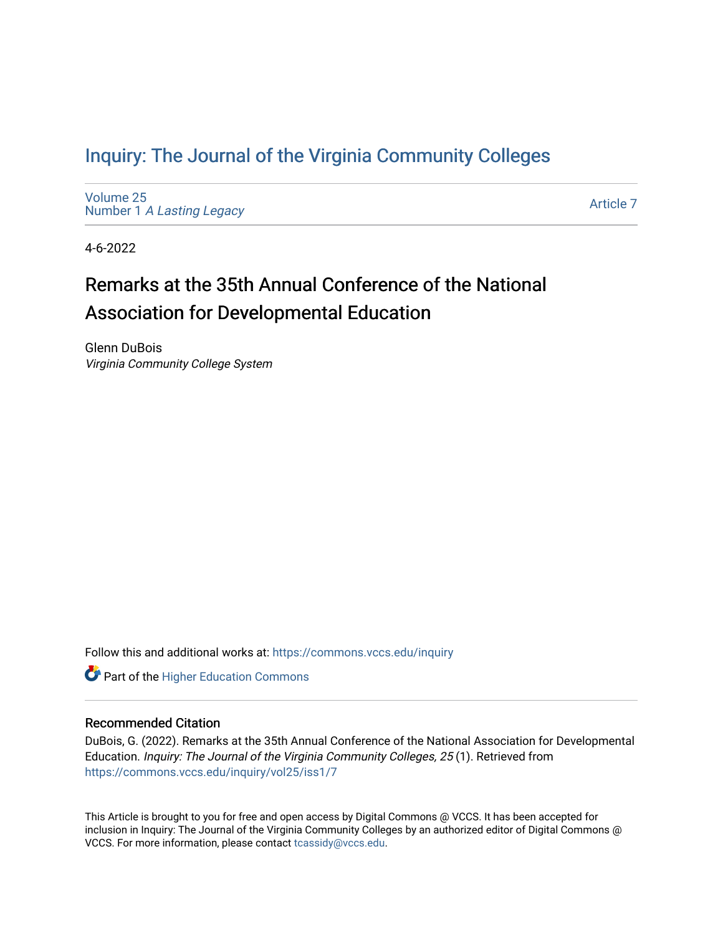## [Inquiry: The Journal of the Virginia Community Colleges](https://commons.vccs.edu/inquiry)

[Volume 25](https://commons.vccs.edu/inquiry/vol25) Number 1 [A Lasting Legacy](https://commons.vccs.edu/inquiry/vol25/iss1)

[Article 7](https://commons.vccs.edu/inquiry/vol25/iss1/7) 

4-6-2022

# Remarks at the 35th Annual Conference of the National Association for Developmental Education

Glenn DuBois Virginia Community College System

Follow this and additional works at: [https://commons.vccs.edu/inquiry](https://commons.vccs.edu/inquiry?utm_source=commons.vccs.edu%2Finquiry%2Fvol25%2Fiss1%2F7&utm_medium=PDF&utm_campaign=PDFCoverPages)

**Part of the Higher Education Commons** 

#### Recommended Citation

DuBois, G. (2022). Remarks at the 35th Annual Conference of the National Association for Developmental Education. Inquiry: The Journal of the Virginia Community Colleges, 25 (1). Retrieved from [https://commons.vccs.edu/inquiry/vol25/iss1/7](https://commons.vccs.edu/inquiry/vol25/iss1/7?utm_source=commons.vccs.edu%2Finquiry%2Fvol25%2Fiss1%2F7&utm_medium=PDF&utm_campaign=PDFCoverPages) 

This Article is brought to you for free and open access by Digital Commons @ VCCS. It has been accepted for inclusion in Inquiry: The Journal of the Virginia Community Colleges by an authorized editor of Digital Commons @ VCCS. For more information, please contact [tcassidy@vccs.edu](mailto:tcassidy@vccs.edu).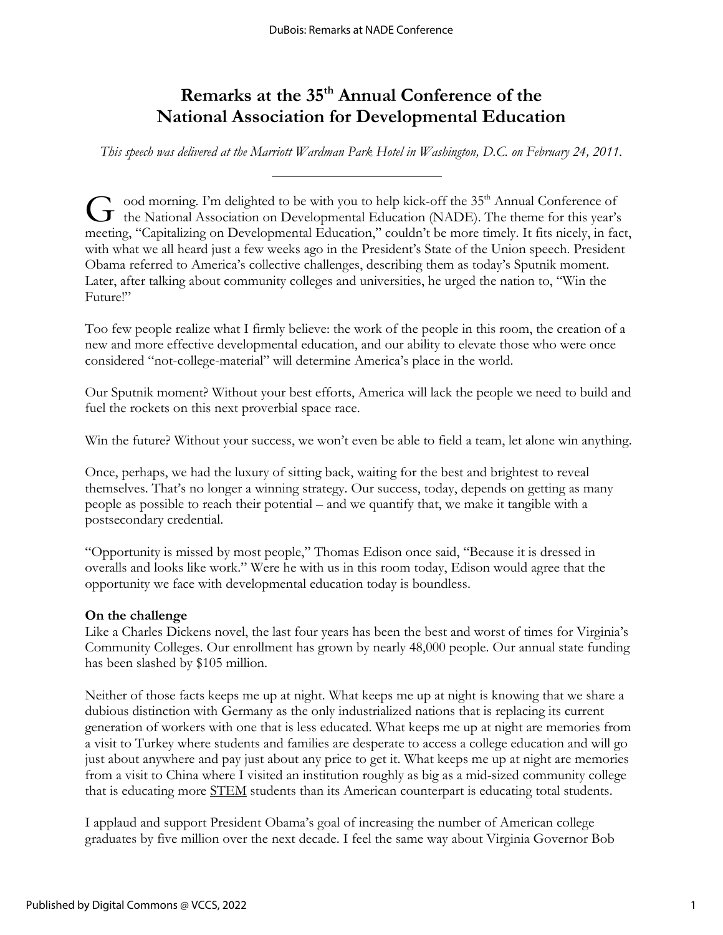## **Remarks at the 35th Annual Conference of the National Association for Developmental Education**

*This speech was delivered at the Marriott Wardman Park Hotel in Washington, D.C. on February 24, 2011.*

ood morning. I'm delighted to be with you to help kick-off the 35<sup>th</sup> Annual Conference of  $G$  ood morning. I'm delighted to be with you to help kick-off the 35<sup>th</sup> Annual Conference of the National Association on Developmental Education (NADE). The theme for this year's  $G$ meeting, "Capitalizing on Developmental Education," couldn't be more timely. It fits nicely, in fact, with what we all heard just a few weeks ago in the President's State of the Union speech. President Obama referred to America's collective challenges, describing them as today's Sputnik moment. Later, after talking about community colleges and universities, he urged the nation to, "Win the Future!"

Too few people realize what I firmly believe: the work of the people in this room, the creation of a new and more effective developmental education, and our ability to elevate those who were once considered "not-college-material" will determine America's place in the world.

Our Sputnik moment? Without your best efforts, America will lack the people we need to build and fuel the rockets on this next proverbial space race.

Win the future? Without your success, we won't even be able to field a team, let alone win anything.

Once, perhaps, we had the luxury of sitting back, waiting for the best and brightest to reveal themselves. That's no longer a winning strategy. Our success, today, depends on getting as many people as possible to reach their potential – and we quantify that, we make it tangible with a postsecondary credential.

"Opportunity is missed by most people," Thomas Edison once said, "Because it is dressed in overalls and looks like work." Were he with us in this room today, Edison would agree that the opportunity we face with developmental education today is boundless.

### **On the challenge**

Like a Charles Dickens novel, the last four years has been the best and worst of times for Virginia's Community Colleges. Our enrollment has grown by nearly 48,000 people. Our annual state funding has been slashed by \$105 million.

Neither of those facts keeps me up at night. What keeps me up at night is knowing that we share a dubious distinction with Germany as the only industrialized nations that is replacing its current generation of workers with one that is less educated. What keeps me up at night are memories from a visit to Turkey where students and families are desperate to access a college education and will go just about anywhere and pay just about any price to get it. What keeps me up at night are memories from a visit to China where I visited an institution roughly as big as a mid-sized community college that is educating more STEM students than its American counterpart is educating total students.

I applaud and support President Obama's goal of increasing the number of American college graduates by five million over the next decade. I feel the same way about Virginia Governor Bob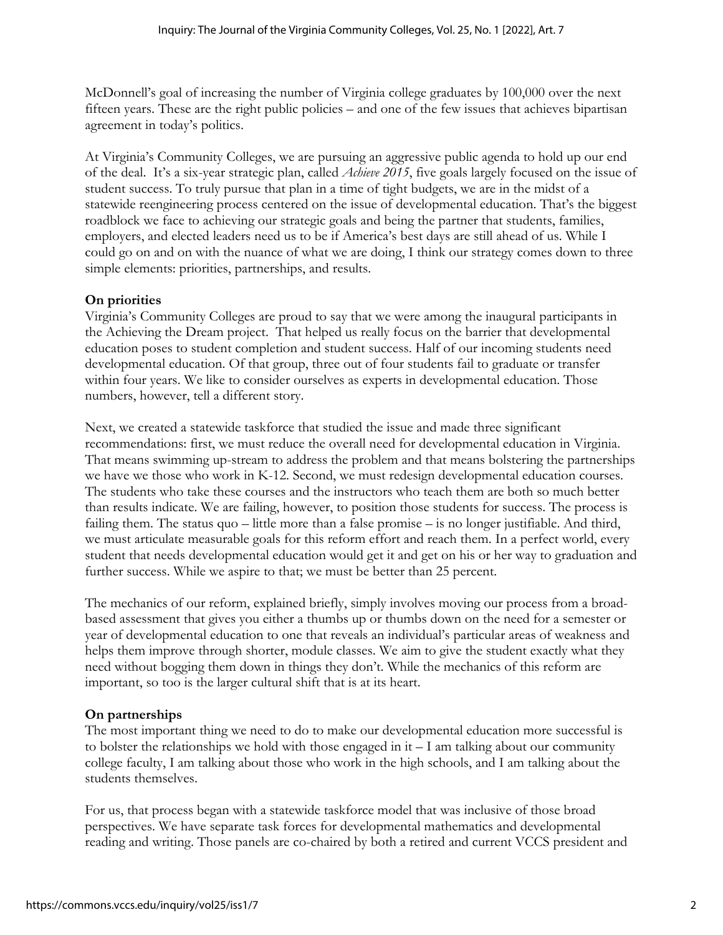McDonnell's goal of increasing the number of Virginia college graduates by 100,000 over the next fifteen years. These are the right public policies – and one of the few issues that achieves bipartisan agreement in today's politics.

At Virginia's Community Colleges, we are pursuing an aggressive public agenda to hold up our end of the deal. It's a six-year strategic plan, called *Achieve 2015*, five goals largely focused on the issue of student success. To truly pursue that plan in a time of tight budgets, we are in the midst of a statewide reengineering process centered on the issue of developmental education. That's the biggest roadblock we face to achieving our strategic goals and being the partner that students, families, employers, and elected leaders need us to be if America's best days are still ahead of us. While I could go on and on with the nuance of what we are doing, I think our strategy comes down to three simple elements: priorities, partnerships, and results.

### **On priorities**

Virginia's Community Colleges are proud to say that we were among the inaugural participants in the Achieving the Dream project. That helped us really focus on the barrier that developmental education poses to student completion and student success. Half of our incoming students need developmental education. Of that group, three out of four students fail to graduate or transfer within four years. We like to consider ourselves as experts in developmental education. Those numbers, however, tell a different story.

Next, we created a statewide taskforce that studied the issue and made three significant recommendations: first, we must reduce the overall need for developmental education in Virginia. That means swimming up-stream to address the problem and that means bolstering the partnerships we have we those who work in K-12. Second, we must redesign developmental education courses. The students who take these courses and the instructors who teach them are both so much better than results indicate. We are failing, however, to position those students for success. The process is failing them. The status quo – little more than a false promise – is no longer justifiable. And third, we must articulate measurable goals for this reform effort and reach them. In a perfect world, every student that needs developmental education would get it and get on his or her way to graduation and further success. While we aspire to that; we must be better than 25 percent.

The mechanics of our reform, explained briefly, simply involves moving our process from a broadbased assessment that gives you either a thumbs up or thumbs down on the need for a semester or year of developmental education to one that reveals an individual's particular areas of weakness and helps them improve through shorter, module classes. We aim to give the student exactly what they need without bogging them down in things they don't. While the mechanics of this reform are important, so too is the larger cultural shift that is at its heart.

### **On partnerships**

The most important thing we need to do to make our developmental education more successful is to bolster the relationships we hold with those engaged in it – I am talking about our community college faculty, I am talking about those who work in the high schools, and I am talking about the students themselves.

For us, that process began with a statewide taskforce model that was inclusive of those broad perspectives. We have separate task forces for developmental mathematics and developmental reading and writing. Those panels are co-chaired by both a retired and current VCCS president and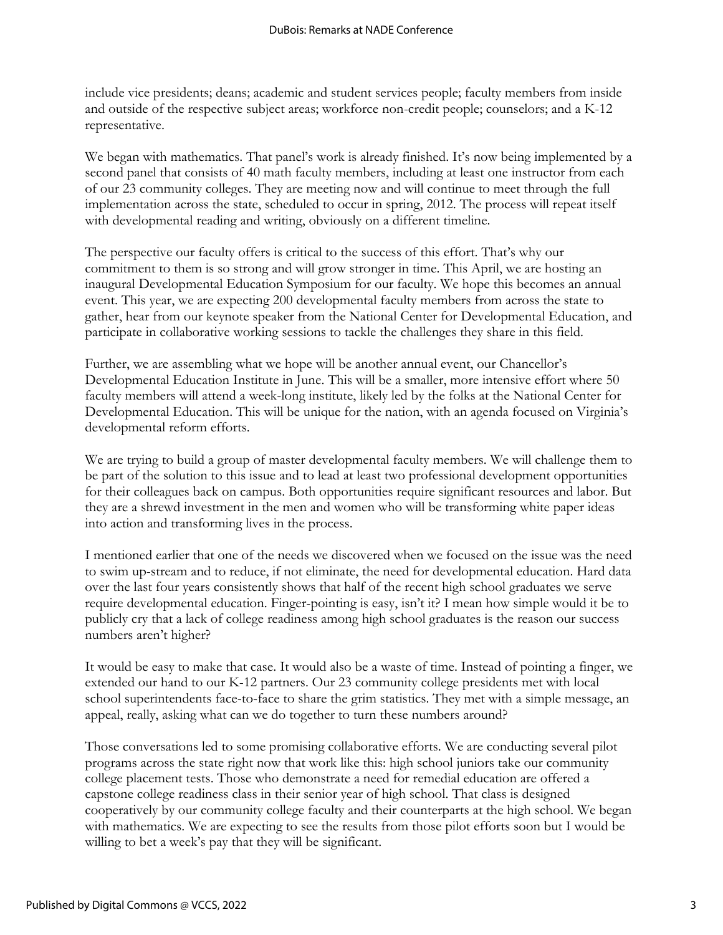include vice presidents; deans; academic and student services people; faculty members from inside and outside of the respective subject areas; workforce non-credit people; counselors; and a K-12 representative.

We began with mathematics. That panel's work is already finished. It's now being implemented by a second panel that consists of 40 math faculty members, including at least one instructor from each of our 23 community colleges. They are meeting now and will continue to meet through the full implementation across the state, scheduled to occur in spring, 2012. The process will repeat itself with developmental reading and writing, obviously on a different timeline.

The perspective our faculty offers is critical to the success of this effort. That's why our commitment to them is so strong and will grow stronger in time. This April, we are hosting an inaugural Developmental Education Symposium for our faculty. We hope this becomes an annual event. This year, we are expecting 200 developmental faculty members from across the state to gather, hear from our keynote speaker from the National Center for Developmental Education, and participate in collaborative working sessions to tackle the challenges they share in this field.

Further, we are assembling what we hope will be another annual event, our Chancellor's Developmental Education Institute in June. This will be a smaller, more intensive effort where 50 faculty members will attend a week-long institute, likely led by the folks at the National Center for Developmental Education. This will be unique for the nation, with an agenda focused on Virginia's developmental reform efforts.

We are trying to build a group of master developmental faculty members. We will challenge them to be part of the solution to this issue and to lead at least two professional development opportunities for their colleagues back on campus. Both opportunities require significant resources and labor. But they are a shrewd investment in the men and women who will be transforming white paper ideas into action and transforming lives in the process.

I mentioned earlier that one of the needs we discovered when we focused on the issue was the need to swim up-stream and to reduce, if not eliminate, the need for developmental education. Hard data over the last four years consistently shows that half of the recent high school graduates we serve require developmental education. Finger-pointing is easy, isn't it? I mean how simple would it be to publicly cry that a lack of college readiness among high school graduates is the reason our success numbers aren't higher?

It would be easy to make that case. It would also be a waste of time. Instead of pointing a finger, we extended our hand to our K-12 partners. Our 23 community college presidents met with local school superintendents face-to-face to share the grim statistics. They met with a simple message, an appeal, really, asking what can we do together to turn these numbers around?

Those conversations led to some promising collaborative efforts. We are conducting several pilot programs across the state right now that work like this: high school juniors take our community college placement tests. Those who demonstrate a need for remedial education are offered a capstone college readiness class in their senior year of high school. That class is designed cooperatively by our community college faculty and their counterparts at the high school. We began with mathematics. We are expecting to see the results from those pilot efforts soon but I would be willing to bet a week's pay that they will be significant.